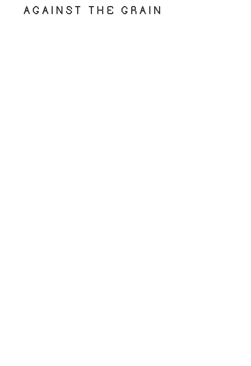## AGAINST THE GRAIN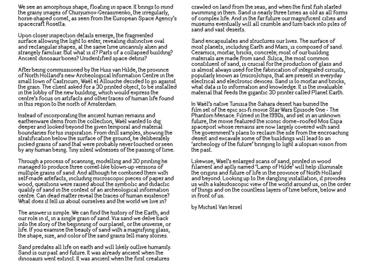We see an amorphous shape, floating in space. It brings to mind the grainy images of Churyumov-Gerasimenko, the irregularly, horse-shaped comet, as seen from the European Space Agency's spacecraft Rosetta.

Upon closer inspection details emerge, the fragmented surface allowing the light to enter, revealing distinctive oval and rectangular shapes, at the same time uncannily alien and strangely familiar. But what is it? Parts of a collapsed building? Ancient dinosaur bones? Unidentified space debris?

After being commissioned by the Huis van Hilde, the province of North Holland's new Archeological Information Centre in the small town of Castricum, Waël el Allouche decided to go against the grain. The client asked for a 3D printed object, to be installed in the lobby of the new building, which would express the centre's focus on artifacts and other traces of human life found in this region to the north of Amsterdam.

Instead of incorporating the ancient human remains and earthenware items from the collection, Waël wanted to dig deeper and looked beyond the given temporal and material boundaries for his inspiration. From drill samples, showing the stratification below the surface of the ground, he deliberately picked grains of sand that were probably never touched or seen by any human being. Tiny silent witnesses of the passing of time.

Through a process of scanning, modelling and 3D printing he managed to produce three comet-like blown-up versions of multiple grains of sand. And although he combined them with self-made artefacts, including microscopic pieces of paper and wood, questions were raised about the symbolic and didactic quality of sand in the context of an archeological information centre. Can dead matter reveal the traces of human existence? What does it tell us about ourselves and the world we live in?

The answer is simple. We can find the history of the Earth, and our role in it, in a single grain of sand. Via sand we delve back into the story of the beginning of our planet, or the universe, or life. If you examine the beauty of sand with a magnifying glass, the shape, size, and color of the sand grains tell many stories.

Sand predates all life on earth and will likely outlive humanity. Sand is our past and future. It was already ancient when the dinosaurs went extinct. It was ancient when the first creatures

crawled on land from the seas, and when the first fish started swimming in them. Sand is nearly three times as old as all forms of complex life. And in the far future our magnificent cities and museums eventually will all crumble and turn back into piles of sand and vast deserts.

Sand encapsulates and structures our lives. The surface of most planets, including Earth and Mars, is composed of sand. Ceramics, mortar, bricks, concrete; most of our building materials are made from sand. Silica, the most common constituent of sand, is crucial for the production of glass and is almost always used for the fabrication of integrated circuits, popularly known as {micro}chips, that are present in everyday electrical and electronic devices. Sand is to mortar and bricks, what data is to information and knowledge. It is the invaluable material that feeds the gigantic 3D printer called Planet Earth.

In Waël's native Tunisia the Sahara desert has buried the film set of the epic sci-fi movie Star Wars Episode One - The Phantom Menace. Filmed in the 1990s, and set in an unknown future, the movie featured the iconic dome–roofed Mos Espa spaceport whose remains are now largely covered with sand. The government's plans to reclaim the site from the encroaching desert and excavate some of the buildings will lead to an 'archeology of the future' bringing to light a utopian vision from the past.

Likewise, Wael's enlarged scans of sand, printed in wood filament and aptly named 'Lamp of Hilde' will help illuminate the origins and future of life in the province of North Holland and beyond. Looking up to the dangling installation, it provides us with a kaleidoscopic view of the world around us, on the order of things and on the countless layers of time before, below and in front of us.

by Michiel Van Iersel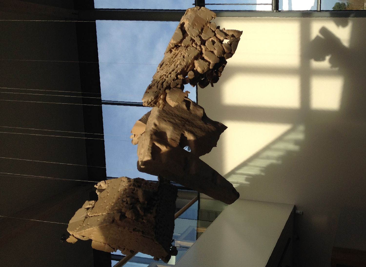